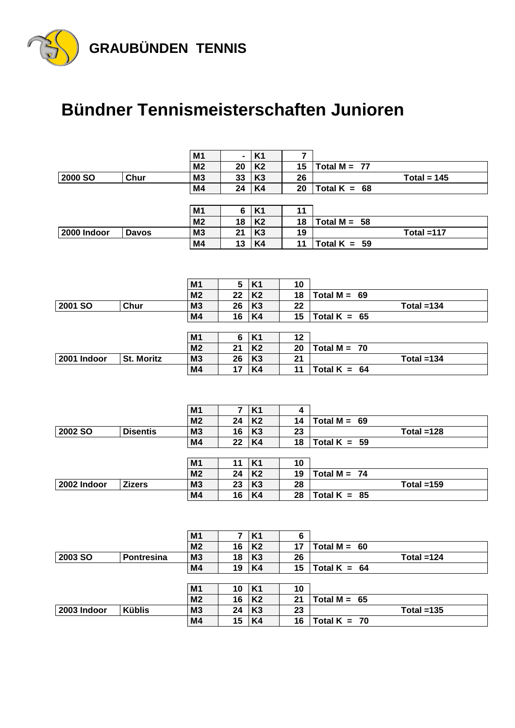

## **Bündner Tennismeisterschaften Junioren**

 $\overline{\phantom{a}}$ 

 $\overline{\phantom{a}}$ 

|                |                   | M <sub>1</sub>       |          | K <sub>1</sub>       | 7        |                |               |  |
|----------------|-------------------|----------------------|----------|----------------------|----------|----------------|---------------|--|
|                |                   | M <sub>2</sub>       | 20       | <b>K2</b>            | 15       | Total $M = 77$ |               |  |
| 2000 SO        | Chur              | M <sub>3</sub>       | 33       | K <sub>3</sub>       | 26       |                | Total = $145$ |  |
|                |                   | M4                   | 24       | K4                   | 20       | Total $K = 68$ |               |  |
|                |                   |                      |          |                      |          |                |               |  |
|                |                   | M1                   | 6        | <b>K1</b>            | 11       |                |               |  |
|                |                   | M <sub>2</sub>       | 18       | K <sub>2</sub>       | 18       | Total $M = 58$ |               |  |
| 2000 Indoor    | <b>Davos</b>      | M <sub>3</sub>       | 21       | K <sub>3</sub>       | 19       |                | Total $=117$  |  |
|                |                   | M4                   | 13       | K4                   | 11       | Total $K = 59$ |               |  |
|                |                   |                      |          |                      |          |                |               |  |
|                |                   |                      |          |                      |          |                |               |  |
|                |                   | M1                   | 5        | <b>K1</b>            | 10       |                |               |  |
|                |                   | M <sub>2</sub>       | 22       | K <sub>2</sub>       | 18       | Total $M = 69$ |               |  |
| 2001 SO        | Chur              | M <sub>3</sub>       | 26       | K <sub>3</sub>       | 22       |                | Total $=134$  |  |
|                |                   | M4                   | 16       | K4                   | 15       | Total $K = 65$ |               |  |
|                |                   |                      |          |                      |          |                |               |  |
|                |                   | M1                   | 6        | <b>K1</b>            | 12       |                |               |  |
|                |                   | M <sub>2</sub>       | 21       | <b>K2</b>            | 20       | Total $M = 70$ |               |  |
| 2001 Indoor    | <b>St. Moritz</b> | M <sub>3</sub>       | 26       | K <sub>3</sub>       | 21       |                | Total $=134$  |  |
|                |                   | M4                   | 17       | K4                   | 11       | Total $K = 64$ |               |  |
|                |                   |                      |          |                      |          |                |               |  |
|                |                   |                      |          |                      |          |                |               |  |
|                |                   |                      |          |                      |          |                |               |  |
|                |                   |                      |          |                      |          |                |               |  |
|                |                   | M <sub>1</sub>       | 7        | <b>K1</b>            | 4        |                |               |  |
|                |                   | M <sub>2</sub>       | 24       | K <sub>2</sub>       | 14       | Total $M = 69$ |               |  |
| 2002 SO        | <b>Disentis</b>   | M <sub>3</sub>       | 16       | K <sub>3</sub>       | 23       |                | Total $=128$  |  |
|                |                   | M4                   | 22       | K4                   | 18       | Total $K = 59$ |               |  |
|                |                   |                      |          |                      |          |                |               |  |
|                |                   | M1                   | 11       | <b>K1</b>            | 10       |                |               |  |
|                |                   | M <sub>2</sub>       | 24       | <b>K2</b>            | 19       | Total $M = 74$ |               |  |
| 2002 Indoor    | <b>Zizers</b>     | M <sub>3</sub>       | 23       | K <sub>3</sub>       | 28       |                | Total $=159$  |  |
|                |                   | M4                   | 16       | K4                   | 28       | Total $K = 85$ |               |  |
|                |                   |                      |          |                      |          |                |               |  |
|                |                   |                      |          |                      |          |                |               |  |
|                |                   | M <sub>1</sub>       |          | $7$ K1               | 6        |                |               |  |
|                |                   | M <sub>2</sub>       | 16       | <b>K2</b>            | 17       | Total $M = 60$ |               |  |
| <b>2003 SO</b> | <b>Pontresina</b> | M <sub>3</sub>       | 18       | K <sub>3</sub>       | 26       |                | Total $=124$  |  |
|                |                   | M4                   | 19       | K4                   | 15       | Total $K = 64$ |               |  |
|                |                   |                      |          |                      |          |                |               |  |
|                |                   | M <sub>1</sub>       | 10       | <b>K1</b>            | 10       |                |               |  |
|                |                   | M <sub>2</sub>       | 16       | K <sub>2</sub>       | 21       | Total $M = 65$ |               |  |
| 2003 Indoor    | <b>Küblis</b>     | M <sub>3</sub><br>M4 | 24<br>15 | K <sub>3</sub><br>K4 | 23<br>16 | Total $K = 70$ | Total $=135$  |  |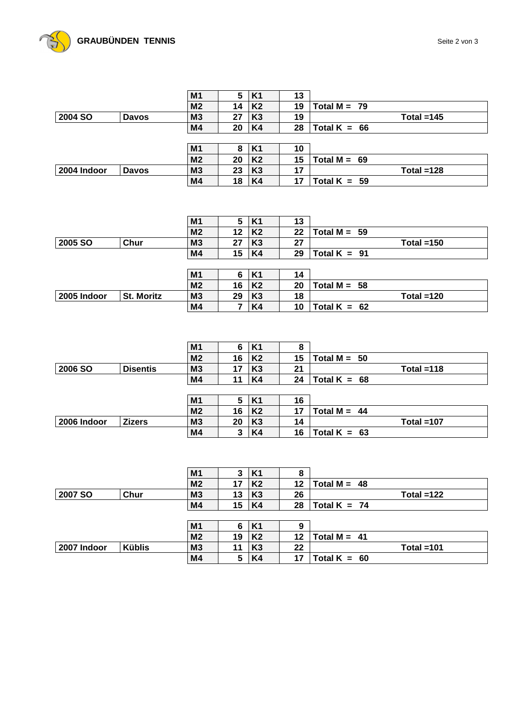

|                |              | M <sub>1</sub> | 5  | K <sub>1</sub> | 13 |                |  |
|----------------|--------------|----------------|----|----------------|----|----------------|--|
|                |              | M <sub>2</sub> | 14 | K <sub>2</sub> | 19 | Total $M = 79$ |  |
| <b>2004 SO</b> | <b>Davos</b> | M <sub>3</sub> | 27 | K <sub>3</sub> | 19 | Total $=145$   |  |
|                |              | M4             | 20 | K4             | 28 | Total $K = 66$ |  |
|                |              |                |    |                |    |                |  |
|                |              | M <sub>1</sub> | 8  | <b>K1</b>      | 10 |                |  |
|                |              | M <sub>2</sub> | 20 | K <sub>2</sub> | 15 | Total $M = 69$ |  |
| 2004 Indoor    | <b>Davos</b> | M <sub>3</sub> | 23 | K <sub>3</sub> | 17 | Total $=128$   |  |
|                |              | M4             | 18 | K4             | 17 | Total $K = 59$ |  |

|             |                   | M <sub>1</sub> | 5  | <b>K1</b>      | 13 |                |
|-------------|-------------------|----------------|----|----------------|----|----------------|
|             |                   | M <sub>2</sub> | 12 | K <sub>2</sub> | 22 | Total $M = 59$ |
| 2005 SO     | Chur              | M <sub>3</sub> | 27 | K <sub>3</sub> | 27 | Total $=150$   |
|             |                   | M4             | 15 | K4             | 29 | Total $K = 91$ |
|             |                   |                |    |                |    |                |
|             |                   | M <sub>1</sub> | 6  | <b>K1</b>      | 14 |                |
|             |                   | M <sub>2</sub> | 16 | K <sub>2</sub> | 20 | Total $M = 58$ |
| 2005 Indoor | <b>St. Moritz</b> | M <sub>3</sub> | 29 | K <sub>3</sub> | 18 | Total $=120$   |
|             |                   | M4             |    | K4             | 10 | Total $K = 62$ |

|                |                 | M <sub>1</sub> | 6  | K <sub>1</sub> | 8  |                |  |
|----------------|-----------------|----------------|----|----------------|----|----------------|--|
|                |                 | M <sub>2</sub> | 16 | K <sub>2</sub> | 15 | Total $M = 50$ |  |
| <b>2006 SO</b> | <b>Disentis</b> | M <sub>3</sub> | 17 | K <sub>3</sub> | 21 | Total $=118$   |  |
|                |                 | M4             | 11 | K4             | 24 | Total $K = 68$ |  |
|                |                 |                |    |                |    |                |  |
|                |                 | M <sub>1</sub> | 5  | <b>K1</b>      | 16 |                |  |
|                |                 | M <sub>2</sub> | 16 | K <sub>2</sub> | 17 | Total $M = 44$ |  |
| 2006 Indoor    | <b>Zizers</b>   | M <sub>3</sub> | 20 | K <sub>3</sub> | 14 | Total $=107$   |  |
|                |                 | M4             | 3  | K4             | 16 | Total $K = 63$ |  |

|               | M <sub>1</sub> | 3  | K1             | 8  |                |
|---------------|----------------|----|----------------|----|----------------|
|               | M <sub>2</sub> | 17 | K <sub>2</sub> | 12 | Total $M = 48$ |
| Chur          | M <sub>3</sub> | 13 | K <sub>3</sub> | 26 | Total $=122$   |
|               | M4             | 15 | K4             | 28 | Total $K = 74$ |
|               |                |    |                |    |                |
|               | M <sub>1</sub> | 6  | K1             | 9  |                |
|               | M <sub>2</sub> | 19 | K <sub>2</sub> | 12 | Total $M = 41$ |
| <b>Küblis</b> | M <sub>3</sub> | 11 | K <sub>3</sub> | 22 | Total $=101$   |
|               | M4             | 5  | K4             | 17 | Total $K = 60$ |
|               |                |    |                |    |                |